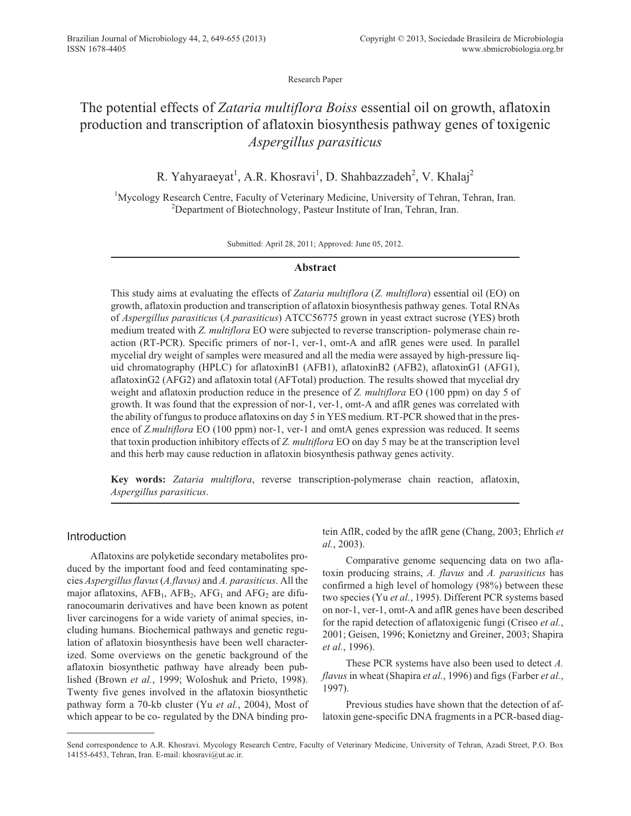Research Paper

# The potential effects of *Zataria multiflora Boiss* essential oil on growth, aflatoxin production and transcription of aflatoxin biosynthesis pathway genes of toxigenic *Aspergillus parasiticus*

R. Yahyaraeyat<sup>1</sup>, A.R. Khosravi<sup>1</sup>, D. Shahbazzadeh<sup>2</sup>, V. Khalaj<sup>2</sup>

<sup>1</sup>Mycology Research Centre, Faculty of Veterinary Medicine, University of Tehran, Tehran, Iran. <sup>2</sup>Department of Biotechnology, Pasteur Institute of Iran, Tehran, Iran.

Submitted: April 28, 2011; Approved: June 05, 2012.

# **Abstract**

This study aims at evaluating the effects of *Zataria multiflora* (*Z. multiflora*) essential oil (EO) on growth, aflatoxin production and transcription of aflatoxin biosynthesis pathway genes. Total RNAs of *Aspergillus parasiticus* (*A.parasiticus*) ATCC56775 grown in yeast extract sucrose (YES) broth medium treated with *Z. multiflora* EO were subjected to reverse transcription- polymerase chain reaction (RT-PCR). Specific primers of nor-1, ver-1, omt-A and aflR genes were used. In parallel mycelial dry weight of samples were measured and all the media were assayed by high-pressure liquid chromatography (HPLC) for aflatoxinB1 (AFB1), aflatoxinB2 (AFB2), aflatoxinG1 (AFG1), aflatoxinG2 (AFG2) and aflatoxin total (AFTotal) production. The results showed that mycelial dry weight and aflatoxin production reduce in the presence of *Z. multiflora* EO (100 ppm) on day 5 of growth. It was found that the expression of nor-1, ver-1, omt-A and aflR genes was correlated with the ability of fungus to produce aflatoxins on day 5 in YES medium. RT-PCR showed that in the presence of *Z.multiflora* EO (100 ppm) nor-1, ver-1 and omtA genes expression was reduced. It seems that toxin production inhibitory effects of *Z. multiflora* EO on day 5 may be at the transcription level and this herb may cause reduction in aflatoxin biosynthesis pathway genes activity.

**Key words:** *Zataria multiflora*, reverse transcription-polymerase chain reaction, aflatoxin, *Aspergillus parasiticus*.

# Introduction

Aflatoxins are polyketide secondary metabolites produced by the important food and feed contaminating species *Aspergillus flavus*(*A.flavus)* and *A. parasiticus*. All the major aflatoxins,  $AFB<sub>1</sub>$ ,  $AFB<sub>2</sub>$ ,  $AFG<sub>1</sub>$  and  $AFG<sub>2</sub>$  are difuranocoumarin derivatives and have been known as potent liver carcinogens for a wide variety of animal species, including humans. Biochemical pathways and genetic regulation of aflatoxin biosynthesis have been well characterized. Some overviews on the genetic background of the aflatoxin biosynthetic pathway have already been published (Brown *et al.*, 1999; Woloshuk and Prieto, 1998). Twenty five genes involved in the aflatoxin biosynthetic pathway form a 70-kb cluster (Yu *et al.*, 2004), Most of which appear to be co- regulated by the DNA binding protein AflR, coded by the aflR gene (Chang, 2003; Ehrlich *et al.*, 2003).

Comparative genome sequencing data on two aflatoxin producing strains, *A. flavus* and *A. parasiticus* has confirmed a high level of homology (98%) between these two species (Yu *et al.*, 1995). Different PCR systems based on nor-1, ver-1, omt-A and aflR genes have been described for the rapid detection of aflatoxigenic fungi (Criseo *et al.*, 2001; Geisen, 1996; Konietzny and Greiner, 2003; Shapira *et al.*, 1996).

These PCR systems have also been used to detect *A. flavus* in wheat (Shapira *et al.*, 1996) and figs (Farber *et al.*, 1997).

Previous studies have shown that the detection of aflatoxin gene-specific DNA fragments in a PCR-based diag-

Send correspondence to A.R. Khosravi. Mycology Research Centre, Faculty of Veterinary Medicine, University of Tehran, Azadi Street, P.O. Box 14155-6453, Tehran, Iran. E-mail: khosravi@ut.ac.ir.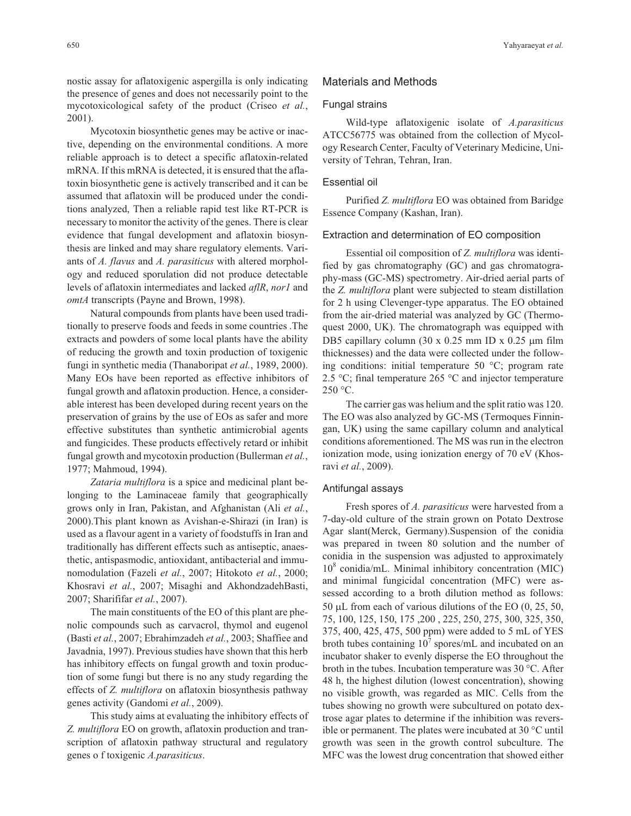nostic assay for aflatoxigenic aspergilla is only indicating the presence of genes and does not necessarily point to the mycotoxicological safety of the product (Criseo *et al.*, 2001).

Mycotoxin biosynthetic genes may be active or inactive, depending on the environmental conditions. A more reliable approach is to detect a specific aflatoxin-related mRNA. If this mRNA is detected, it is ensured that the aflatoxin biosynthetic gene is actively transcribed and it can be assumed that aflatoxin will be produced under the conditions analyzed, Then a reliable rapid test like RT-PCR is necessary to monitor the activity of the genes. There is clear evidence that fungal development and aflatoxin biosynthesis are linked and may share regulatory elements. Variants of *A. flavus* and *A. parasiticus* with altered morphology and reduced sporulation did not produce detectable levels of aflatoxin intermediates and lacked *aflR*, *nor1* and *omtA* transcripts (Payne and Brown, 1998).

Natural compounds from plants have been used traditionally to preserve foods and feeds in some countries .The extracts and powders of some local plants have the ability of reducing the growth and toxin production of toxigenic fungi in synthetic media (Thanaboripat *et al.*, 1989, 2000). Many EOs have been reported as effective inhibitors of fungal growth and aflatoxin production. Hence, a considerable interest has been developed during recent years on the preservation of grains by the use of EOs as safer and more effective substitutes than synthetic antimicrobial agents and fungicides. These products effectively retard or inhibit fungal growth and mycotoxin production (Bullerman *et al.*, 1977; Mahmoud, 1994).

*Zataria multiflora* is a spice and medicinal plant belonging to the Laminaceae family that geographically grows only in Iran, Pakistan, and Afghanistan (Ali *et al.*, 2000).This plant known as Avishan-e-Shirazi (in Iran) is used as a flavour agent in a variety of foodstuffs in Iran and traditionally has different effects such as antiseptic, anaesthetic, antispasmodic, antioxidant, antibacterial and immunomodulation (Fazeli *et al.*, 2007; Hitokoto *et al.*, 2000; Khosravi *et al.*, 2007; Misaghi and AkhondzadehBasti, 2007; Sharififar *et al.*, 2007).

The main constituents of the EO of this plant are phenolic compounds such as carvacrol, thymol and eugenol (Basti *et al.*, 2007; Ebrahimzadeh *et al.*, 2003; Shaffiee and Javadnia, 1997). Previous studies have shown that this herb has inhibitory effects on fungal growth and toxin production of some fungi but there is no any study regarding the effects of *Z. multiflora* on aflatoxin biosynthesis pathway genes activity (Gandomi *et al.*, 2009).

This study aims at evaluating the inhibitory effects of *Z. multiflora* EO on growth, aflatoxin production and transcription of aflatoxin pathway structural and regulatory genes o f toxigenic *A.parasiticus*.

# Materials and Methods

## Fungal strains

Wild-type aflatoxigenic isolate of *A.parasiticus* ATCC56775 was obtained from the collection of Mycology Research Center, Faculty of Veterinary Medicine, University of Tehran, Tehran, Iran.

# Essential oil

Purified *Z. multiflora* EO was obtained from Baridge Essence Company (Kashan, Iran).

#### Extraction and determination of EO composition

Essential oil composition of *Z. multiflora* was identified by gas chromatography (GC) and gas chromatography-mass (GC-MS) spectrometry. Air-dried aerial parts of the *Z. multiflora* plant were subjected to steam distillation for 2 h using Clevenger-type apparatus. The EO obtained from the air-dried material was analyzed by GC (Thermoquest 2000, UK). The chromatograph was equipped with DB5 capillary column  $(30 \times 0.25 \text{ mm ID} \times 0.25 \text{ }\mu\text{m film})$ thicknesses) and the data were collected under the following conditions: initial temperature 50 °C; program rate 2.5 °C; final temperature 265 °C and injector temperature  $250 °C$ .

The carrier gas was helium and the split ratio was 120. The EO was also analyzed by GC-MS (Termoques Finningan, UK) using the same capillary column and analytical conditions aforementioned. The MS was run in the electron ionization mode, using ionization energy of 70 eV (Khosravi *et al.*, 2009).

## Antifungal assays

Fresh spores of *A. parasiticus* were harvested from a 7-day-old culture of the strain grown on Potato Dextrose Agar slant(Merck, Germany).Suspension of the conidia was prepared in tween 80 solution and the number of conidia in the suspension was adjusted to approximately  $10<sup>8</sup>$  conidia/mL. Minimal inhibitory concentration (MIC) and minimal fungicidal concentration (MFC) were assessed according to a broth dilution method as follows: 50  $\mu$ L from each of various dilutions of the EO (0, 25, 50, 75, 100, 125, 150, 175 ,200 , 225, 250, 275, 300, 325, 350, 375, 400, 425, 475, 500 ppm) were added to 5 mL of YES broth tubes containing  $10<sup>7</sup>$  spores/mL and incubated on an incubator shaker to evenly disperse the EO throughout the broth in the tubes. Incubation temperature was 30 °C. After 48 h, the highest dilution (lowest concentration), showing no visible growth, was regarded as MIC. Cells from the tubes showing no growth were subcultured on potato dextrose agar plates to determine if the inhibition was reversible or permanent. The plates were incubated at 30 °C until growth was seen in the growth control subculture. The MFC was the lowest drug concentration that showed either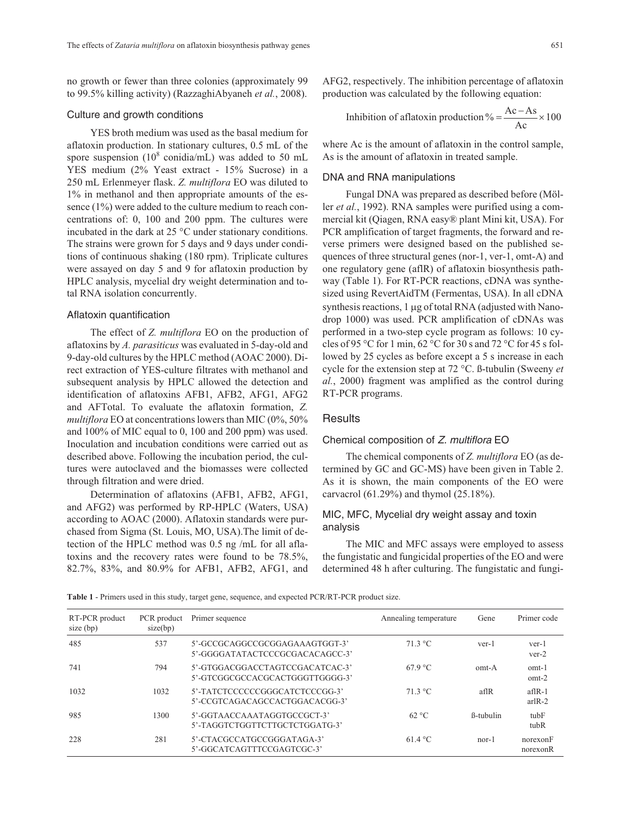no growth or fewer than three colonies (approximately 99 to 99.5% killing activity) (RazzaghiAbyaneh *et al.*, 2008).

## Culture and growth conditions

YES broth medium was used as the basal medium for aflatoxin production. In stationary cultures, 0.5 mL of the spore suspension ( $10^8$  conidia/mL) was added to 50 mL YES medium (2% Yeast extract - 15% Sucrose) in a 250 mL Erlenmeyer flask. *Z. multiflora* EO was diluted to 1% in methanol and then appropriate amounts of the essence (1%) were added to the culture medium to reach concentrations of: 0, 100 and 200 ppm. The cultures were incubated in the dark at 25 °C under stationary conditions. The strains were grown for 5 days and 9 days under conditions of continuous shaking (180 rpm). Triplicate cultures were assayed on day 5 and 9 for aflatoxin production by HPLC analysis, mycelial dry weight determination and total RNA isolation concurrently.

#### Aflatoxin quantification

The effect of *Z. multiflora* EO on the production of aflatoxins by *A. parasiticus* was evaluated in 5-day-old and 9-day-old cultures by the HPLC method (AOAC 2000). Direct extraction of YES-culture filtrates with methanol and subsequent analysis by HPLC allowed the detection and identification of aflatoxins AFB1, AFB2, AFG1, AFG2 and AFTotal. To evaluate the aflatoxin formation, *Z. multiflora* EO at concentrations lowers than MIC (0%, 50% and 100% of MIC equal to 0, 100 and 200 ppm) was used. Inoculation and incubation conditions were carried out as described above. Following the incubation period, the cultures were autoclaved and the biomasses were collected through filtration and were dried.

Determination of aflatoxins (AFB1, AFB2, AFG1, and AFG2) was performed by RP-HPLC (Waters, USA) according to AOAC (2000). Aflatoxin standards were purchased from Sigma (St. Louis, MO, USA).The limit of detection of the HPLC method was 0.5 ng /mL for all aflatoxins and the recovery rates were found to be 78.5%, 82.7%, 83%, and 80.9% for AFB1, AFB2, AFG1, and AFG2, respectively. The inhibition percentage of aflatoxin production was calculated by the following equation:

Inhibition of aflatoxin production 
$$
\% = \frac{Ac - As}{Ac} \times 100
$$

where Ac is the amount of aflatoxin in the control sample, As is the amount of aflatoxin in treated sample.

## DNA and RNA manipulations

Fungal DNA was prepared as described before (Möller *et al.*, 1992). RNA samples were purified using a commercial kit (Qiagen, RNA easy® plant Mini kit, USA). For PCR amplification of target fragments, the forward and reverse primers were designed based on the published sequences of three structural genes (nor-1, ver-1, omt-A) and one regulatory gene (aflR) of aflatoxin biosynthesis pathway (Table 1). For RT-PCR reactions, cDNA was synthesized using RevertAidTM (Fermentas, USA). In all cDNA synthesis reactions,  $1 \mu$ g of total RNA (adjusted with Nanodrop 1000) was used. PCR amplification of cDNAs was performed in a two-step cycle program as follows: 10 cycles of 95 °C for 1 min, 62 °C for 30 s and 72 °C for 45 s followed by 25 cycles as before except a 5 s increase in each cycle for the extension step at 72 °C. ß-tubulin (Sweeny *et al.*, 2000) fragment was amplified as the control during RT-PCR programs.

# **Results**

## Chemical composition of Z. multiflora EO

The chemical components of *Z. multiflora* EO (as determined by GC and GC-MS) have been given in Table 2. As it is shown, the main components of the EO were carvacrol (61.29%) and thymol (25.18%).

# MIC, MFC, Mycelial dry weight assay and toxin analysis

The MIC and MFC assays were employed to assess the fungistatic and fungicidal properties of the EO and were determined 48 h after culturing. The fungistatic and fungi-

**Table 1** - Primers used in this study, target gene, sequence, and expected PCR/RT-PCR product size.

| RT-PCR product<br>size $(bp)$ | PCR product<br>size(bp) | Primer sequence                                                    | Annealing temperature | Gene              | Primer code          |
|-------------------------------|-------------------------|--------------------------------------------------------------------|-----------------------|-------------------|----------------------|
| 485                           | 537                     | 5'-GCCGCAGGCCGCGGAGAAAGTGGT-3'<br>5'-GGGGATATACTCCCGCGACACAGCC-3'  | $71.3 \text{ °C}$     | ver-1             | ver-1<br>$ver-2$     |
| 741                           | 794                     | 5'-GTGGACGGACCTAGTCCGACATCAC-3'<br>5'-GTCGGCGCCACGCACTGGGTTGGGG-3' | 67.9 °C               | $omt-A$           | omt-1<br>omt-2       |
| 1032                          | 1032                    | 5'-TATCTCCCCCCGGGCATCTCCCGG-3'<br>5'-CCGTCAGACAGCCACTGGACACGG-3'   | $71.3 \text{ °C}$     | aflR              | $affR-1$<br>$arIR-2$ |
| 985                           | 1300                    | 5'-GGTAACCAAATAGGTGCCGCT-3'<br>5'-TAGGTCTGGTTCTTGCTCTGGATG-3'      | 62 °C                 | <b>B</b> -tubulin | $t$ ub $F$<br>tubR   |
| 228                           | 281                     | 5'-CTACGCCATGCCGGGATAGA-3'<br>5'-GGCATCAGTTTCCGAGTCGC-3'           | 61.4 °C               | $nor-1$           | norexonF<br>norexonR |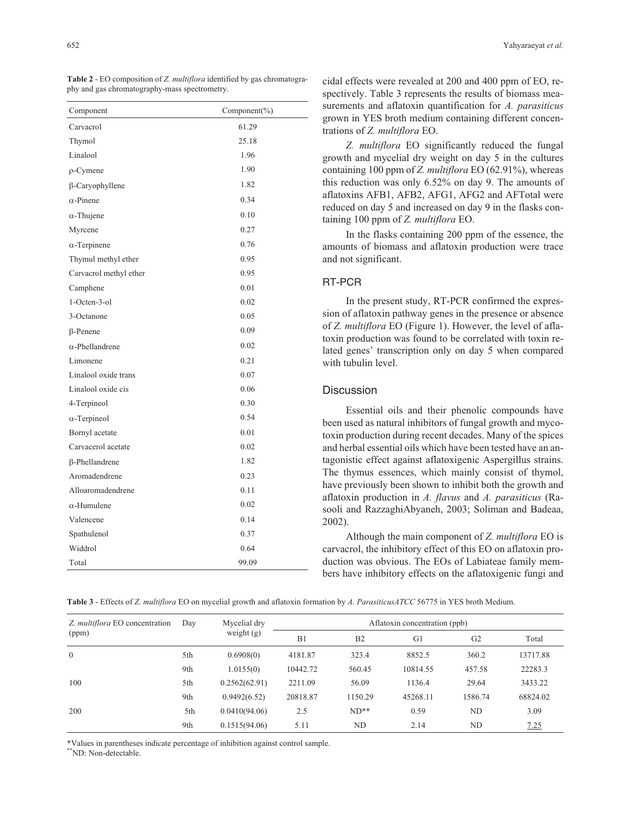| Component              | Component(%) |
|------------------------|--------------|
| Carvacrol              | 61.29        |
| Thymol                 | 25.18        |
| Linalool               | 1.96         |
| $\rho$ -Cymene         | 1.90         |
| β-Caryophyllene        | 1.82         |
| $\alpha$ -Pinene       | 0.34         |
| $\alpha$ -Thujene      | 0.10         |
| Myrcene                | 0.27         |
| $\alpha$ -Terpinene    | 0.76         |
| Thymul methyl ether    | 0.95         |
| Carvacrol methyl ether | 0.95         |
| Camphene               | 0.01         |
| 1-Octen-3-ol           | 0.02         |
| 3-Octanone             | 0.05         |
| $\beta$ -Penene        | 0.09         |
| $\alpha$ -Phellandrene | 0.02         |
| Limonene               | 0.21         |
| Linalool oxide trans   | 0.07         |
| Linalool oxide cis     | 0.06         |
| 4-Terpineol            | 0.30         |
| $\alpha$ -Terpineol    | 0.54         |
| Bornyl acetate         | 0.01         |
| Carvacerol acetate     | 0.02         |
| β-Phellandrene         | 1.82         |
| Aromadendrene          | 0.23         |
| Alloaromadendrene      | 0.11         |
| $\alpha$ -Humulene     | 0.02         |
| Valencene              | 0.14         |
| Spathulenol            | 0.37         |
| Widdrol                | 0.64         |
| Total                  | 99.09        |

**Table 2** - EO composition of *Z. multiflora* identified by gas chromatography and gas chromatography-mass spectrometry.

cidal effects were revealed at 200 and 400 ppm of EO, respectively. Table 3 represents the results of biomass measurements and aflatoxin quantification for *A. parasiticus* grown in YES broth medium containing different concentrations of *Z. multiflora* EO.

*Z. multiflora* EO significantly reduced the fungal growth and mycelial dry weight on day 5 in the cultures containing 100 ppm of *Z. multiflora* EO (62.91%), whereas this reduction was only 6.52% on day 9. The amounts of aflatoxins AFB1, AFB2, AFG1, AFG2 and AFTotal were reduced on day 5 and increased on day 9 in the flasks containing 100 ppm of *Z. multiflora* EO.

In the flasks containing 200 ppm of the essence, the amounts of biomass and aflatoxin production were trace and not significant.

# RT-PCR

In the present study, RT-PCR confirmed the expression of aflatoxin pathway genes in the presence or absence of *Z. multiflora* EO (Figure 1). However, the level of aflatoxin production was found to be correlated with toxin related genes' transcription only on day 5 when compared with tubulin level.

# **Discussion**

Essential oils and their phenolic compounds have been used as natural inhibitors of fungal growth and mycotoxin production during recent decades. Many of the spices and herbal essential oils which have been tested have an antagonistic effect against aflatoxigenic Aspergillus strains. The thymus essences, which mainly consist of thymol, have previously been shown to inhibit both the growth and aflatoxin production in *A. flavus* and *A. parasiticus* (Rasooli and RazzaghiAbyaneh, 2003; Soliman and Badeaa, 2002).

Although the main component of *Z. multiflora* EO is carvacrol, the inhibitory effect of this EO on aflatoxin production was obvious. The EOs of Labiateae family members have inhibitory effects on the aflatoxigenic fungi and

**Table 3** - Effects of *Z. multiflora* EO on mycelial growth and aflatoxin formation by *A. ParasiticusATCC* 56775 in YES broth Medium.

| Z. multiflora EO concentration | Day | Mycelial dry  | Aflatoxin concentration (ppb) |                |          |                |          |
|--------------------------------|-----|---------------|-------------------------------|----------------|----------|----------------|----------|
| (ppm)                          |     | weight $(g)$  | B <sub>1</sub>                | B <sub>2</sub> | G1       | G <sub>2</sub> | Total    |
| $\theta$                       | 5th | 0.6908(0)     | 4181.87                       | 323.4          | 8852.5   | 360.2          | 13717.88 |
|                                | 9th | 1.0155(0)     | 10442.72                      | 560.45         | 10814.55 | 457.58         | 22283.3  |
| 100                            | 5th | 0.2562(62.91) | 2211.09                       | 56.09          | 1136.4   | 29.64          | 3433.22  |
|                                | 9th | 0.9492(6.52)  | 20818.87                      | 1150.29        | 45268.11 | 1586.74        | 68824.02 |
| 200                            | 5th | 0.0410(94.06) | 2.5                           | $ND**$         | 0.59     | ND             | 3.09     |
|                                | 9th | 0.1515(94.06) | 5.11                          | ND             | 2.14     | ND             | 7.25     |

\*Values in parentheses indicate percentage of inhibition against control sample.

\*\*ND: Non-detectable.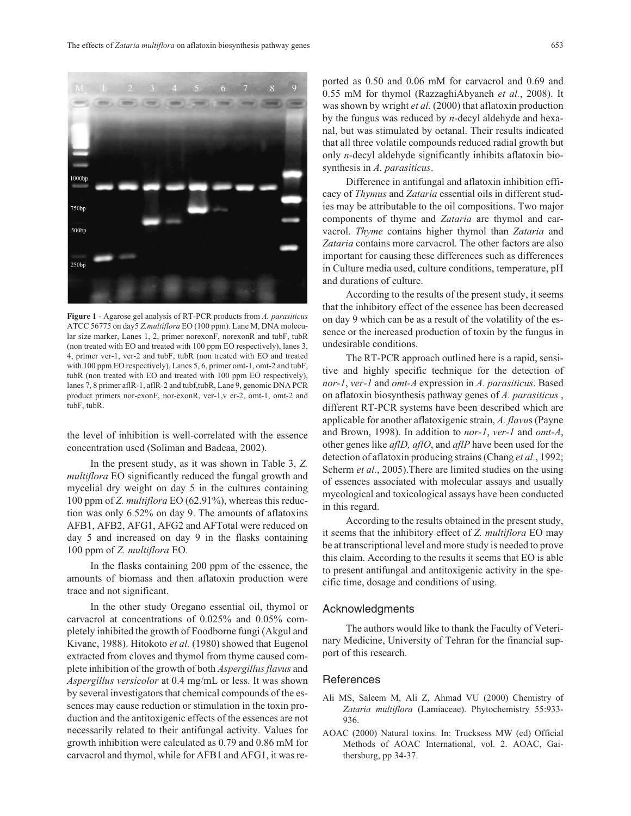1000br  $750<sub>bp</sub>$ 500bp  $250<sub>bn</sub>$ 

**Figure 1** - Agarose gel analysis of RT-PCR products from *A. parasiticus* ATCC 56775 on day5 *Z.multiflora* EO (100 ppm). Lane M, DNA molecular size marker, Lanes 1, 2, primer norexonF, norexonR and tubF, tubR (non treated with EO and treated with 100 ppm EO respectively), lanes 3, 4, primer ver-1, ver-2 and tubF, tubR (non treated with EO and treated with 100 ppm EO respectively), Lanes 5, 6, primer omt-1, omt-2 and tubF, tubR (non treated with EO and treated with 100 ppm EO respectively), lanes 7, 8 primer aflR-1, aflR-2 and tubf,tubR, Lane 9, genomic DNA PCR product primers nor-exonF, nor-exonR, ver-1,v er-2, omt-1, omt-2 and tubF, tubR.

the level of inhibition is well-correlated with the essence concentration used (Soliman and Badeaa, 2002).

In the present study, as it was shown in Table 3, *Z. multiflora* EO significantly reduced the fungal growth and mycelial dry weight on day 5 in the cultures containing 100 ppm of *Z. multiflora* EO (62.91%), whereas this reduction was only 6.52% on day 9. The amounts of aflatoxins AFB1, AFB2, AFG1, AFG2 and AFTotal were reduced on day 5 and increased on day 9 in the flasks containing 100 ppm of *Z. multiflora* EO.

In the flasks containing 200 ppm of the essence, the amounts of biomass and then aflatoxin production were trace and not significant.

In the other study Oregano essential oil, thymol or carvacrol at concentrations of 0.025% and 0.05% completely inhibited the growth of Foodborne fungi (Akgul and Kivanc, 1988). Hitokoto *et al.* (1980) showed that Eugenol extracted from cloves and thymol from thyme caused complete inhibition of the growth of both *Aspergillus flavus* and *Aspergillus versicolor* at 0.4 mg/mL or less. It was shown by several investigators that chemical compounds of the essences may cause reduction or stimulation in the toxin production and the antitoxigenic effects of the essences are not necessarily related to their antifungal activity. Values for growth inhibition were calculated as 0.79 and 0.86 mM for carvacrol and thymol, while for AFB1 and AFG1, it was reported as 0.50 and 0.06 mM for carvacrol and 0.69 and 0.55 mM for thymol (RazzaghiAbyaneh *et al.*, 2008). It was shown by wright *et al.* (2000) that aflatoxin production by the fungus was reduced by *n*-decyl aldehyde and hexanal, but was stimulated by octanal. Their results indicated that all three volatile compounds reduced radial growth but only *n*-decyl aldehyde significantly inhibits aflatoxin biosynthesis in *A. parasiticus*.

Difference in antifungal and aflatoxin inhibition efficacy of *Thymus* and *Zataria* essential oils in different studies may be attributable to the oil compositions. Two major components of thyme and *Zataria* are thymol and carvacrol. *Thyme* contains higher thymol than *Zataria* and *Zataria* contains more carvacrol. The other factors are also important for causing these differences such as differences in Culture media used, culture conditions, temperature, pH and durations of culture.

According to the results of the present study, it seems that the inhibitory effect of the essence has been decreased on day 9 which can be as a result of the volatility of the essence or the increased production of toxin by the fungus in undesirable conditions.

The RT-PCR approach outlined here is a rapid, sensitive and highly specific technique for the detection of *nor-1*, *ver-1* and *omt-A* expression in *A. parasiticus*. Based on aflatoxin biosynthesis pathway genes of *A. parasiticus* , different RT-PCR systems have been described which are applicable for another aflatoxigenic strain, *A. flavu*s (Payne and Brown, 1998). In addition to *nor-1*, *ver-1* and *omt-A*, other genes like *aflD, aflO*, and *aflP* have been used for the detection of aflatoxin producing strains (Chang *et al.*, 1992; Scherm *et al.*, 2005). There are limited studies on the using of essences associated with molecular assays and usually mycological and toxicological assays have been conducted in this regard.

According to the results obtained in the present study, it seems that the inhibitory effect of *Z. multiflora* EO may be at transcriptional level and more study is needed to prove this claim. According to the results it seems that EO is able to present antifungal and antitoxigenic activity in the specific time, dosage and conditions of using.

## Acknowledgments

The authors would like to thank the Faculty of Veterinary Medicine, University of Tehran for the financial support of this research.

## **References**

- Ali MS, Saleem M, Ali Z, Ahmad VU (2000) Chemistry of *Zataria multiflora* (Lamiaceae). Phytochemistry 55:933- 936.
- AOAC (2000) Natural toxins. In: Trucksess MW (ed) Official Methods of AOAC International, vol. 2. AOAC, Gaithersburg, pp 34-37.

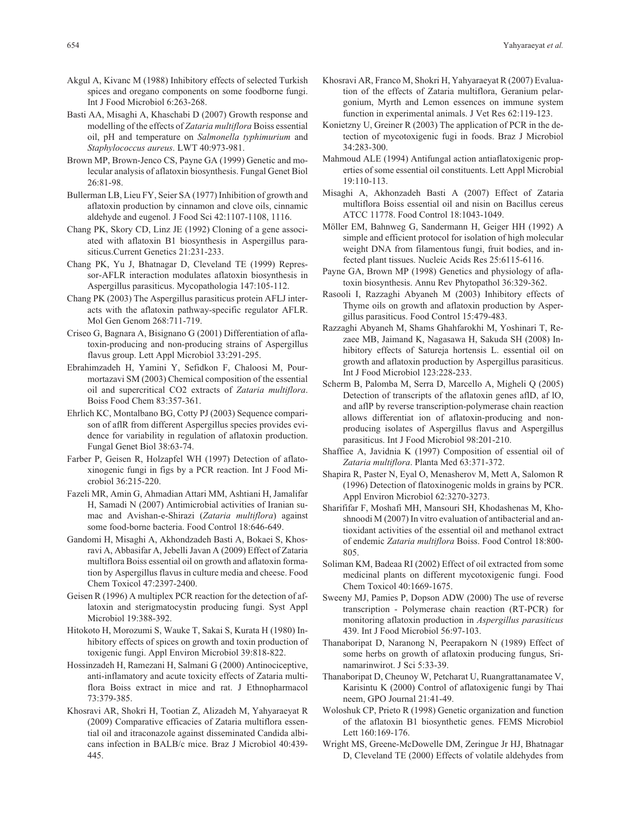- Akgul A, Kivanc M (1988) Inhibitory effects of selected Turkish spices and oregano components on some foodborne fungi. Int J Food Microbiol 6:263-268.
- Basti AA, Misaghi A, Khaschabi D (2007) Growth response and modelling of the effects of *Zataria multiflora* Boiss essential oil, pH and temperature on *Salmonella typhimurium* and *Staphylococcus aureus*. LWT 40:973-981.
- Brown MP, Brown-Jenco CS, Payne GA (1999) Genetic and molecular analysis of aflatoxin biosynthesis. Fungal Genet Biol 26:81-98.
- Bullerman LB, Lieu FY, Seier SA (1977) Inhibition of growth and aflatoxin production by cinnamon and clove oils, cinnamic aldehyde and eugenol. J Food Sci 42:1107-1108, 1116.
- Chang PK, Skory CD, Linz JE (1992) Cloning of a gene associated with aflatoxin B1 biosynthesis in Aspergillus parasiticus.Current Genetics 21:231-233.
- Chang PK, Yu J, Bhatnagar D, Cleveland TE (1999) Repressor-AFLR interaction modulates aflatoxin biosynthesis in Aspergillus parasiticus. Mycopathologia 147:105-112.
- Chang PK (2003) The Aspergillus parasiticus protein AFLJ interacts with the aflatoxin pathway-specific regulator AFLR. Mol Gen Genom 268:711-719.
- Criseo G, Bagnara A, Bisignano G (2001) Differentiation of aflatoxin-producing and non-producing strains of Aspergillus flavus group. Lett Appl Microbiol 33:291-295.
- Ebrahimzadeh H, Yamini Y, Sefidkon F, Chaloosi M, Pourmortazavi SM (2003) Chemical composition of the essential oil and supercritical CO2 extracts of *Zataria multiflora*. Boiss Food Chem 83:357-361.
- Ehrlich KC, Montalbano BG, Cotty PJ (2003) Sequence comparison of aflR from different Aspergillus species provides evidence for variability in regulation of aflatoxin production. Fungal Genet Biol 38:63-74.
- Farber P, Geisen R, Holzapfel WH (1997) Detection of aflatoxinogenic fungi in figs by a PCR reaction. Int J Food Microbiol 36:215-220.
- Fazeli MR, Amin G, Ahmadian Attari MM, Ashtiani H, Jamalifar H, Samadi N (2007) Antimicrobial activities of Iranian sumac and Avishan-e-Shirazi (*Zataria multiflora*) against some food-borne bacteria. Food Control 18:646-649.
- Gandomi H, Misaghi A, Akhondzadeh Basti A, Bokaei S, Khosravi A, Abbasifar A, Jebelli Javan A (2009) Effect of Zataria multiflora Boiss essential oil on growth and aflatoxin formation by Aspergillus flavus in culture media and cheese. Food Chem Toxicol 47:2397-2400.
- Geisen R (1996) A multiplex PCR reaction for the detection of aflatoxin and sterigmatocystin producing fungi. Syst Appl Microbiol 19:388-392.
- Hitokoto H, Morozumi S, Wauke T, Sakai S, Kurata H (1980) Inhibitory effects of spices on growth and toxin production of toxigenic fungi. Appl Environ Microbiol 39:818-822.
- Hossinzadeh H, Ramezani H, Salmani G (2000) Antinociceptive, anti-inflamatory and acute toxicity effects of Zataria multiflora Boiss extract in mice and rat. J Ethnopharmacol 73:379-385.
- Khosravi AR, Shokri H, Tootian Z, Alizadeh M, Yahyaraeyat R (2009) Comparative efficacies of Zataria multiflora essential oil and itraconazole against disseminated Candida albicans infection in BALB/c mice. Braz J Microbiol 40:439- 445.
- Khosravi AR, Franco M, Shokri H, Yahyaraeyat R (2007) Evaluation of the effects of Zataria multiflora, Geranium pelargonium, Myrth and Lemon essences on immune system function in experimental animals. J Vet Res 62:119-123.
- Konietzny U, Greiner R (2003) The application of PCR in the detection of mycotoxigenic fugi in foods. Braz J Microbiol 34:283-300.
- Mahmoud ALE (1994) Antifungal action antiaflatoxigenic properties of some essential oil constituents. Lett Appl Microbial 19:110-113.
- Misaghi A, Akhonzadeh Basti A (2007) Effect of Zataria multiflora Boiss essential oil and nisin on Bacillus cereus ATCC 11778. Food Control 18:1043-1049.
- Möller EM, Bahnweg G, Sandermann H, Geiger HH (1992) A simple and efficient protocol for isolation of high molecular weight DNA from filamentous fungi, fruit bodies, and infected plant tissues. Nucleic Acids Res 25:6115-6116.
- Payne GA, Brown MP (1998) Genetics and physiology of aflatoxin biosynthesis. Annu Rev Phytopathol 36:329-362.
- Rasooli I, Razzaghi Abyaneh M (2003) Inhibitory effects of Thyme oils on growth and aflatoxin production by Aspergillus parasiticus. Food Control 15:479-483.
- Razzaghi Abyaneh M, Shams Ghahfarokhi M, Yoshinari T, Rezaee MB, Jaimand K, Nagasawa H, Sakuda SH (2008) Inhibitory effects of Satureja hortensis L. essential oil on growth and aflatoxin production by Aspergillus parasiticus. Int J Food Microbiol 123:228-233.
- Scherm B, Palomba M, Serra D, Marcello A, Migheli Q (2005) Detection of transcripts of the aflatoxin genes aflD, af lO, and aflP by reverse transcription-polymerase chain reaction allows differentiat ion of aflatoxin-producing and nonproducing isolates of Aspergillus flavus and Aspergillus parasiticus. Int J Food Microbiol 98:201-210.
- Shaffiee A, Javidnia K (1997) Composition of essential oil of *Zataria multiflora*. Planta Med 63:371-372.
- Shapira R, Paster N, Eyal O, Menasherov M, Mett A, Salomon R (1996) Detection of flatoxinogenic molds in grains by PCR. Appl Environ Microbiol 62:3270-3273.
- Sharififar F, Moshafi MH, Mansouri SH, Khodashenas M, Khoshnoodi M (2007) In vitro evaluation of antibacterial and antioxidant activities of the essential oil and methanol extract of endemic *Zataria multiflora* Boiss. Food Control 18:800- 805.
- Soliman KM, Badeaa RI (2002) Effect of oil extracted from some medicinal plants on different mycotoxigenic fungi. Food Chem Toxicol 40:1669-1675.
- Sweeny MJ, Pamies P, Dopson ADW (2000) The use of reverse transcription - Polymerase chain reaction (RT-PCR) for monitoring aflatoxin production in *Aspergillus parasiticus* 439. Int J Food Microbiol 56:97-103.
- Thanaboripat D, Naranong N, Peerapakorn N (1989) Effect of some herbs on growth of aflatoxin producing fungus, Srinamarinwirot. J Sci 5:33-39.
- Thanaboripat D, Cheunoy W, Petcharat U, Ruangrattanamatee V, Karisintu K (2000) Control of aflatoxigenic fungi by Thai neem, GPO Journal 21:41-49.
- Woloshuk CP, Prieto R (1998) Genetic organization and function of the aflatoxin B1 biosynthetic genes. FEMS Microbiol Lett 160:169-176.
- Wright MS, Greene-McDowelle DM, Zeringue Jr HJ, Bhatnagar D, Cleveland TE (2000) Effects of volatile aldehydes from